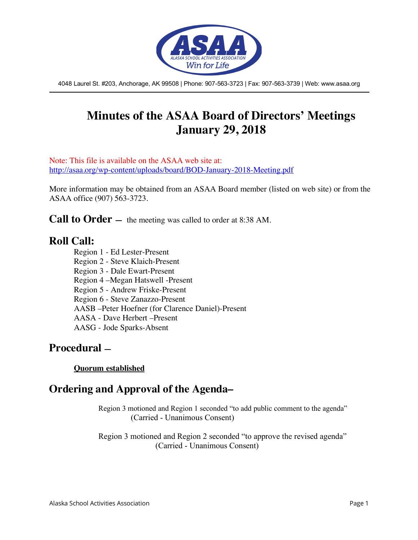

4048 Laurel St. #203, Anchorage, AK 99508 | Phone: 907-563-3723 | Fax: 907-563-3739 | Web: www.asaa.org

# **Minutes of the ASAA Board of Directors' Meetings January 29, 2018**

Note: This file is available on the ASAA web site at: http://asaa.org/wp-content/uploads/board/BOD-January-2018-Meeting.pdf

More information may be obtained from an ASAA Board member (listed on web site) or from the ASAA office (907) 563-3723.

**Call to Order** — the meeting was called to order at 8:38 AM.

#### **Roll Call:**

Region 1 - Ed Lester-Present Region 2 - Steve Klaich-Present Region 3 - Dale Ewart-Present Region 4 –Megan Hatswell -Present Region 5 - Andrew Friske-Present Region 6 - Steve Zanazzo-Present AASB –Peter Hoefner (for Clarence Daniel)-Present AASA - Dave Herbert –Present AASG - Jode Sparks-Absent

#### **Procedural —**

**Quorum established**

#### **Ordering and Approval of the Agenda–**

Region 3 motioned and Region 1 seconded "to add public comment to the agenda" (Carried - Unanimous Consent)

Region 3 motioned and Region 2 seconded "to approve the revised agenda" (Carried - Unanimous Consent)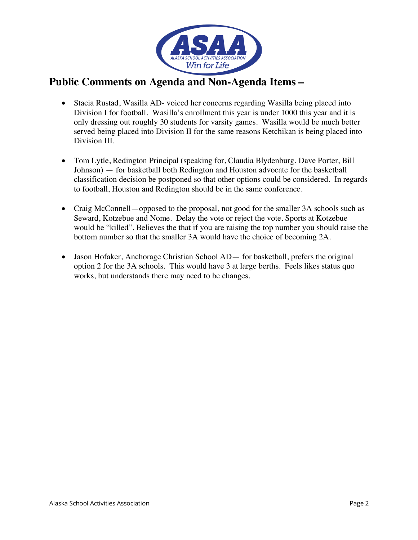

### **Public Comments on Agenda and Non-Agenda Items –**

- Stacia Rustad, Wasilla AD- voiced her concerns regarding Wasilla being placed into Division I for football. Wasilla's enrollment this year is under 1000 this year and it is only dressing out roughly 30 students for varsity games. Wasilla would be much better served being placed into Division II for the same reasons Ketchikan is being placed into Division III.
- Tom Lytle, Redington Principal (speaking for, Claudia Blydenburg, Dave Porter, Bill Johnson) — for basketball both Redington and Houston advocate for the basketball classification decision be postponed so that other options could be considered. In regards to football, Houston and Redington should be in the same conference.
- Craig McConnell—opposed to the proposal, not good for the smaller 3A schools such as Seward, Kotzebue and Nome. Delay the vote or reject the vote. Sports at Kotzebue would be "killed". Believes the that if you are raising the top number you should raise the bottom number so that the smaller 3A would have the choice of becoming 2A.
- Jason Hofaker, Anchorage Christian School AD— for basketball, prefers the original option 2 for the 3A schools. This would have 3 at large berths. Feels likes status quo works, but understands there may need to be changes.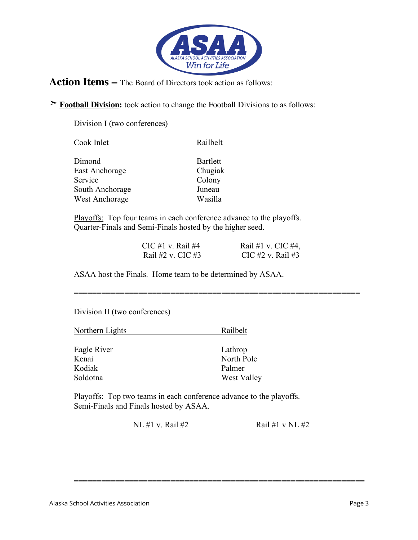

#### **Action Items –** The Board of Directors took action as follows:

➣ **Football Division:** took action to change the Football Divisions to as follows:

Division I (two conferences)

| Cook Inlet            | Railbelt        |
|-----------------------|-----------------|
|                       |                 |
| Dimond                | <b>Bartlett</b> |
| <b>East Anchorage</b> | Chugiak         |
| Service               | Colony          |
| South Anchorage       | Juneau          |
| <b>West Anchorage</b> | Wasilla         |

Playoffs: Top four teams in each conference advance to the playoffs. Quarter-Finals and Semi-Finals hosted by the higher seed.

| CIC #1 v. Rail #4 | Rail #1 v. CIC #4, |
|-------------------|--------------------|
| Rail #2 v. CIC #3 | CIC #2 v. Rail #3  |

==============================================================

===============================================================

ASAA host the Finals. Home team to be determined by ASAA.

Division II (two conferences)

| Northern Lights | Railbelt   |
|-----------------|------------|
| Eagle River     | Lathrop    |
| Kenai           | North Pole |
| Kodiak          | Palmer     |

Soldotna West Valley

Playoffs: Top two teams in each conference advance to the playoffs. Semi-Finals and Finals hosted by ASAA.

NL #1 v. Rail #2 Rail #1 v NL #2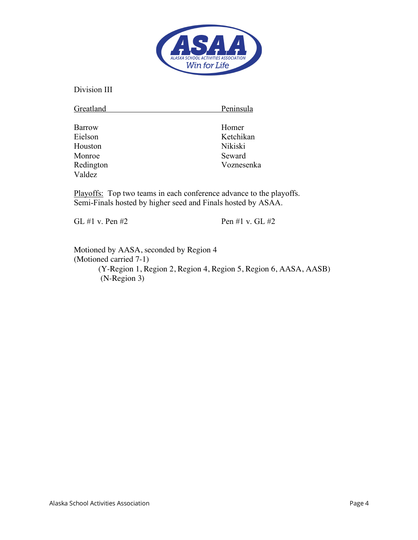

Division III

| Greatland     | Peninsula  |
|---------------|------------|
| <b>Barrow</b> | Homer      |
| Eielson       | Ketchikan  |
| Houston       | Nikiski    |
| Monroe        | Seward     |
| Redington     | Voznesenka |
| Valdez        |            |

Playoffs: Top two teams in each conference advance to the playoffs. Semi-Finals hosted by higher seed and Finals hosted by ASAA.

GL #1 v. Pen #2 Pen #1 v. GL #2

Motioned by AASA, seconded by Region 4 (Motioned carried 7-1) (Y-Region 1, Region 2, Region 4, Region 5, Region 6, AASA, AASB) (N-Region 3)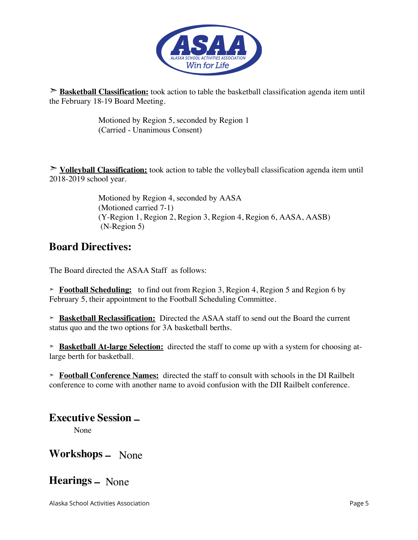

➣ **Basketball Classification:** took action to table the basketball classification agenda item until the February 18-19 Board Meeting.

> Motioned by Region 5, seconded by Region 1 (Carried - Unanimous Consent)

➣ **Volleyball Classification:** took action to table the volleyball classification agenda item until 2018-2019 school year.

> Motioned by Region 4, seconded by AASA (Motioned carried 7-1) (Y-Region 1, Region 2, Region 3, Region 4, Region 6, AASA, AASB) (N-Region 5)

## **Board Directives:**

The Board directed the ASAA Staff as follows:

➣ **Football Scheduling:** to find out from Region 3, Region 4, Region 5 and Region 6 by February 5, their appointment to the Football Scheduling Committee.

➣ **Basketball Reclassification:** Directed the ASAA staff to send out the Board the current status quo and the two options for 3A basketball berths.

➣ **Basketball At-large Selection:** directed the staff to come up with a system for choosing atlarge berth for basketball.

➣ **Football Conference Names:** directed the staff to consult with schools in the DI Railbelt conference to come with another name to avoid confusion with the DII Railbelt conference.

**Executive Session –**

None

**Workshops –** None

**Hearings –** None

Alaska School Activities Association Page 5